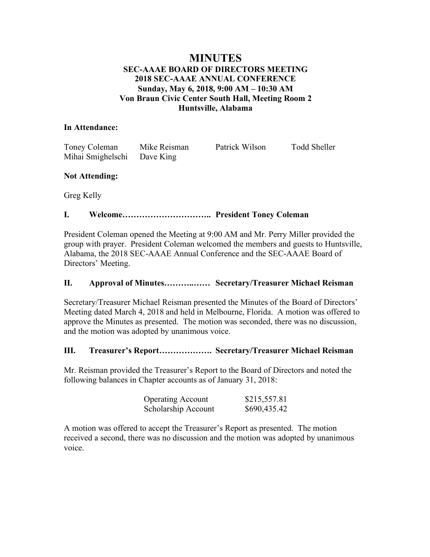# **MINUTES SEC-AAAE BOARD OF DIRECTORS MEETING 2018 SEC-AAAE ANNUAL CONFERENCE Sunday, May 6, 2018, 9:00 AM – 10:30 AM Von Braun Civic Center South Hall, Meeting Room 2 Huntsville, Alabama**

# **In Attendance:**

| Toney Coleman               | Mike Reisman | Patrick Wilson | Todd Sheller |
|-----------------------------|--------------|----------------|--------------|
| Mihai Smighelschi Dave King |              |                |              |

# **Not Attending:**

Greg Kelly

# **I. Welcome………………………….. President Toney Coleman**

President Coleman opened the Meeting at 9:00 AM and Mr. Perry Miller provided the group with prayer. President Coleman welcomed the members and guests to Huntsville, Alabama, the 2018 SEC-AAAE Annual Conference and the SEC-AAAE Board of Directors' Meeting.

# **II. Approval of Minutes………..…… Secretary/Treasurer Michael Reisman**

Secretary/Treasurer Michael Reisman presented the Minutes of the Board of Directors' Meeting dated March 4, 2018 and held in Melbourne, Florida. A motion was offered to approve the Minutes as presented. The motion was seconded, there was no discussion, and the motion was adopted by unanimous voice.

# **III. Treasurer's Report………………. Secretary/Treasurer Michael Reisman**

Mr. Reisman provided the Treasurer's Report to the Board of Directors and noted the following balances in Chapter accounts as of January 31, 2018:

| <b>Operating Account</b> | \$215,557.81 |
|--------------------------|--------------|
| Scholarship Account      | \$690,435.42 |

A motion was offered to accept the Treasurer's Report as presented. The motion received a second, there was no discussion and the motion was adopted by unanimous voice.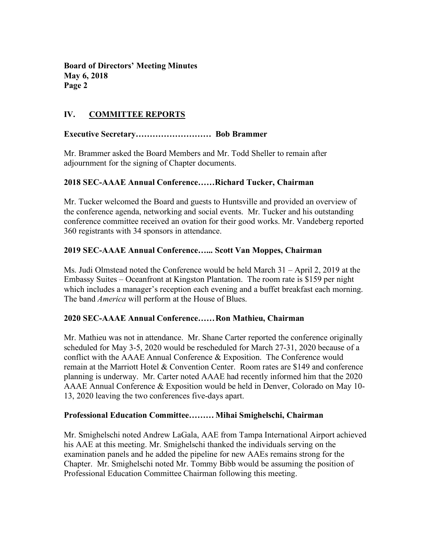# **IV. COMMITTEE REPORTS**

## **Executive Secretary……………………… Bob Brammer**

Mr. Brammer asked the Board Members and Mr. Todd Sheller to remain after adjournment for the signing of Chapter documents.

## **2018 SEC-AAAE Annual Conference……Richard Tucker, Chairman**

Mr. Tucker welcomed the Board and guests to Huntsville and provided an overview of the conference agenda, networking and social events. Mr. Tucker and his outstanding conference committee received an ovation for their good works. Mr. Vandeberg reported 360 registrants with 34 sponsors in attendance.

### **2019 SEC-AAAE Annual Conference…... Scott Van Moppes, Chairman**

Ms. Judi Olmstead noted the Conference would be held March 31 – April 2, 2019 at the Embassy Suites – Oceanfront at Kingston Plantation. The room rate is \$159 per night which includes a manager's reception each evening and a buffet breakfast each morning. The band *America* will perform at the House of Blues.

## **2020 SEC-AAAE Annual Conference……Ron Mathieu, Chairman**

Mr. Mathieu was not in attendance. Mr. Shane Carter reported the conference originally scheduled for May 3-5, 2020 would be rescheduled for March 27-31, 2020 because of a conflict with the AAAE Annual Conference & Exposition. The Conference would remain at the Marriott Hotel & Convention Center. Room rates are \$149 and conference planning is underway. Mr. Carter noted AAAE had recently informed him that the 2020 AAAE Annual Conference & Exposition would be held in Denver, Colorado on May 10- 13, 2020 leaving the two conferences five-days apart.

### **Professional Education Committee………Mihai Smighelschi, Chairman**

Mr. Smighelschi noted Andrew LaGala, AAE from Tampa International Airport achieved his AAE at this meeting. Mr. Smighelschi thanked the individuals serving on the examination panels and he added the pipeline for new AAEs remains strong for the Chapter. Mr. Smighelschi noted Mr. Tommy Bibb would be assuming the position of Professional Education Committee Chairman following this meeting.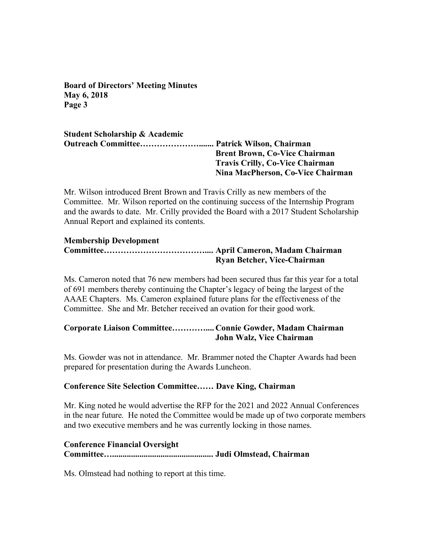## **Student Scholarship & Academic Outreach Committee…………………....... Patrick Wilson, Chairman Brent Brown, Co-Vice Chairman Travis Crilly, Co-Vice Chairman Nina MacPherson, Co-Vice Chairman**

Mr. Wilson introduced Brent Brown and Travis Crilly as new members of the Committee. Mr. Wilson reported on the continuing success of the Internship Program and the awards to date. Mr. Crilly provided the Board with a 2017 Student Scholarship Annual Report and explained its contents.

### **Membership Development**

## **Committee……………………………….... April Cameron, Madam Chairman Ryan Betcher, Vice-Chairman**

Ms. Cameron noted that 76 new members had been secured thus far this year for a total of 691 members thereby continuing the Chapter's legacy of being the largest of the AAAE Chapters. Ms. Cameron explained future plans for the effectiveness of the Committee. She and Mr. Betcher received an ovation for their good work.

# **Corporate Liaison Committee………….... Connie Gowder, Madam Chairman John Walz, Vice Chairman**

Ms. Gowder was not in attendance. Mr. Brammer noted the Chapter Awards had been prepared for presentation during the Awards Luncheon.

## **Conference Site Selection Committee…… Dave King, Chairman**

Mr. King noted he would advertise the RFP for the 2021 and 2022 Annual Conferences in the near future. He noted the Committee would be made up of two corporate members and two executive members and he was currently locking in those names.

## **Conference Financial Oversight**

**Committee…................................................ Judi Olmstead, Chairman**

Ms. Olmstead had nothing to report at this time.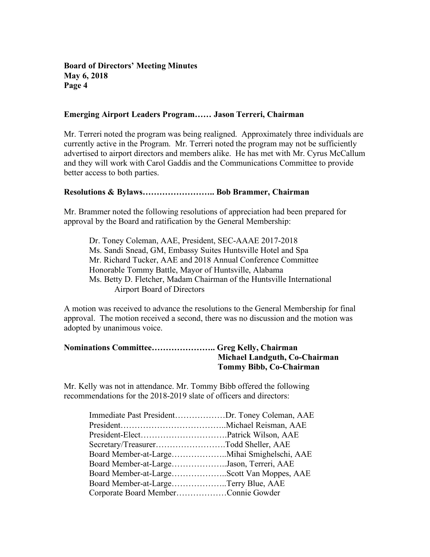#### **Emerging Airport Leaders Program…… Jason Terreri, Chairman**

Mr. Terreri noted the program was being realigned. Approximately three individuals are currently active in the Program. Mr. Terreri noted the program may not be sufficiently advertised to airport directors and members alike. He has met with Mr. Cyrus McCallum and they will work with Carol Gaddis and the Communications Committee to provide better access to both parties.

### **Resolutions & Bylaws…………………….. Bob Brammer, Chairman**

Mr. Brammer noted the following resolutions of appreciation had been prepared for approval by the Board and ratification by the General Membership:

Dr. Toney Coleman, AAE, President, SEC-AAAE 2017-2018 Ms. Sandi Snead, GM, Embassy Suites Huntsville Hotel and Spa Mr. Richard Tucker, AAE and 2018 Annual Conference Committee Honorable Tommy Battle, Mayor of Huntsville, Alabama Ms. Betty D. Fletcher, Madam Chairman of the Huntsville International Airport Board of Directors

A motion was received to advance the resolutions to the General Membership for final approval. The motion received a second, there was no discussion and the motion was adopted by unanimous voice.

| Nominations Committee Greg Kelly, Chairman |                               |
|--------------------------------------------|-------------------------------|
|                                            | Michael Landguth, Co-Chairman |
|                                            | Tommy Bibb, Co-Chairman       |

Mr. Kelly was not in attendance. Mr. Tommy Bibb offered the following recommendations for the 2018-2019 slate of officers and directors:

| Immediate Past PresidentDr. Toney Coleman, AAE |
|------------------------------------------------|
|                                                |
|                                                |
| Secretary/TreasurerTodd Sheller, AAE           |
|                                                |
| Board Member-at-LargeJason, Terreri, AAE       |
|                                                |
| Board Member-at-LargeTerry Blue, AAE           |
| Corporate Board MemberConnie Gowder            |
|                                                |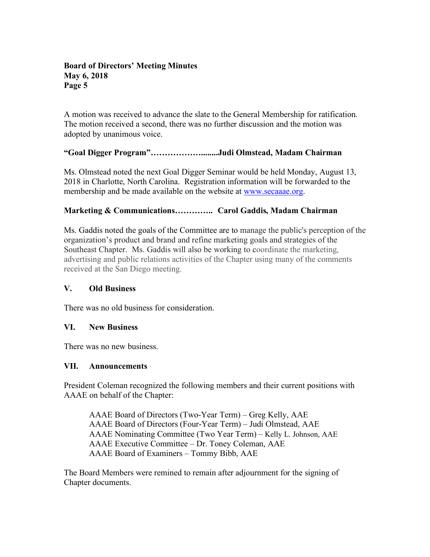A motion was received to advance the slate to the General Membership for ratification. The motion received a second, there was no further discussion and the motion was adopted by unanimous voice.

# **"Goal Digger Program"………………........Judi Olmstead, Madam Chairman**

Ms. Olmstead noted the next Goal Digger Seminar would be held Monday, August 13, 2018 in Charlotte, North Carolina. Registration information will be forwarded to the membership and be made available on the website at www.secaaae.org.

# **Marketing & Communications………….. Carol Gaddis, Madam Chairman**

Ms. Gaddis noted the goals of the Committee are to manage the public's perception of the organization's product and brand and refine marketing goals and strategies of the Southeast Chapter. Ms. Gaddis will also be working to coordinate the marketing, advertising and public relations activities of the Chapter using many of the comments received at the San Diego meeting.

## **V. Old Business**

There was no old business for consideration.

## **VI. New Business**

There was no new business.

## **VII. Announcements**

President Coleman recognized the following members and their current positions with AAAE on behalf of the Chapter:

AAAE Board of Directors (Two-Year Term) – Greg Kelly, AAE AAAE Board of Directors (Four-Year Term) – Judi Olmstead, AAE AAAE Nominating Committee (Two Year Term) – Kelly L. Johnson, AAE AAAE Executive Committee – Dr. Toney Coleman, AAE AAAE Board of Examiners – Tommy Bibb, AAE

The Board Members were remined to remain after adjournment for the signing of Chapter documents.